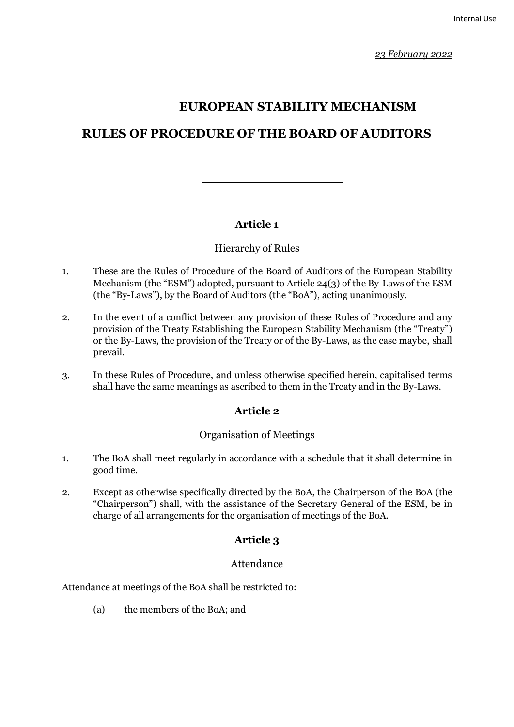# **EUROPEAN STABILITY MECHANISM**

# **RULES OF PROCEDURE OF THE BOARD OF AUDITORS**

### **Article 1**

### Hierarchy of Rules

- 1. These are the Rules of Procedure of the Board of Auditors of the European Stability Mechanism (the "ESM") adopted, pursuant to Article 24(3) of the By-Laws of the ESM (the "By-Laws"), by the Board of Auditors (the "BoA"), acting unanimously.
- 2. In the event of a conflict between any provision of these Rules of Procedure and any provision of the Treaty Establishing the European Stability Mechanism (the "Treaty") or the By-Laws, the provision of the Treaty or of the By-Laws, as the case maybe, shall prevail.
- 3. In these Rules of Procedure, and unless otherwise specified herein, capitalised terms shall have the same meanings as ascribed to them in the Treaty and in the By-Laws.

# **Article 2**

### Organisation of Meetings

- 1. The BoA shall meet regularly in accordance with a schedule that it shall determine in good time.
- 2. Except as otherwise specifically directed by the BoA, the Chairperson of the BoA (the "Chairperson") shall, with the assistance of the Secretary General of the ESM, be in charge of all arrangements for the organisation of meetings of the BoA.

# **Article 3**

### Attendance

Attendance at meetings of the BoA shall be restricted to:

(a) the members of the BoA; and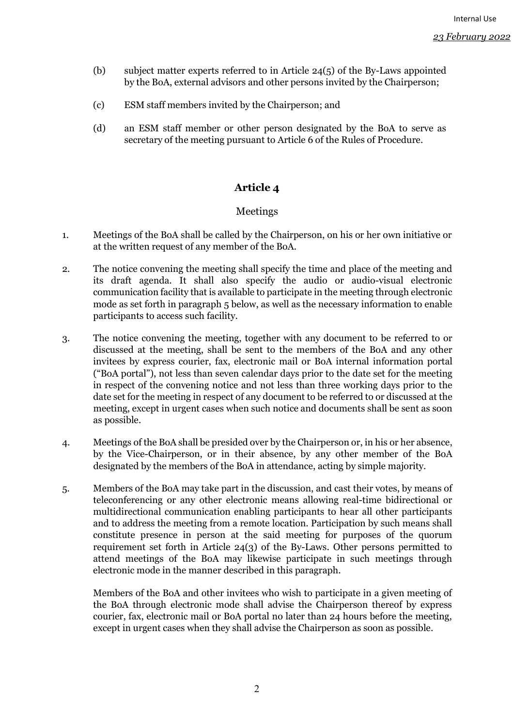- (b) subject matter experts referred to in Article 24(5) of the By-Laws appointed by the BoA, external advisors and other persons invited by the Chairperson;
- (c) ESM staff members invited by the Chairperson; and
- (d) an ESM staff member or other person designated by the BoA to serve as secretary of the meeting pursuant to Article 6 of the Rules of Procedure.

### **Article 4**

#### Meetings

- 1. Meetings of the BoA shall be called by the Chairperson, on his or her own initiative or at the written request of any member of the BoA.
- 2. The notice convening the meeting shall specify the time and place of the meeting and its draft agenda. It shall also specify the audio or audio-visual electronic communication facility that is available to participate in the meeting through electronic mode as set forth in paragraph 5 below, as well as the necessary information to enable participants to access such facility.
- 3. The notice convening the meeting, together with any document to be referred to or discussed at the meeting, shall be sent to the members of the BoA and any other invitees by express courier, fax, electronic mail or BoA internal information portal ("BoA portal"), not less than seven calendar days prior to the date set for the meeting in respect of the convening notice and not less than three working days prior to the date set for the meeting in respect of any document to be referred to or discussed at the meeting, except in urgent cases when such notice and documents shall be sent as soon as possible.
- 4. Meetings of the BoA shall be presided over by the Chairperson or, in his or her absence, by the Vice-Chairperson, or in their absence, by any other member of the BoA designated by the members of the BoA in attendance, acting by simple majority.
- 5. Members of the BoA may take part in the discussion, and cast their votes, by means of teleconferencing or any other electronic means allowing real-time bidirectional or multidirectional communication enabling participants to hear all other participants and to address the meeting from a remote location. Participation by such means shall constitute presence in person at the said meeting for purposes of the quorum requirement set forth in Article 24(3) of the By-Laws. Other persons permitted to attend meetings of the BoA may likewise participate in such meetings through electronic mode in the manner described in this paragraph.

Members of the BoA and other invitees who wish to participate in a given meeting of the BoA through electronic mode shall advise the Chairperson thereof by express courier, fax, electronic mail or BoA portal no later than 24 hours before the meeting, except in urgent cases when they shall advise the Chairperson as soon as possible.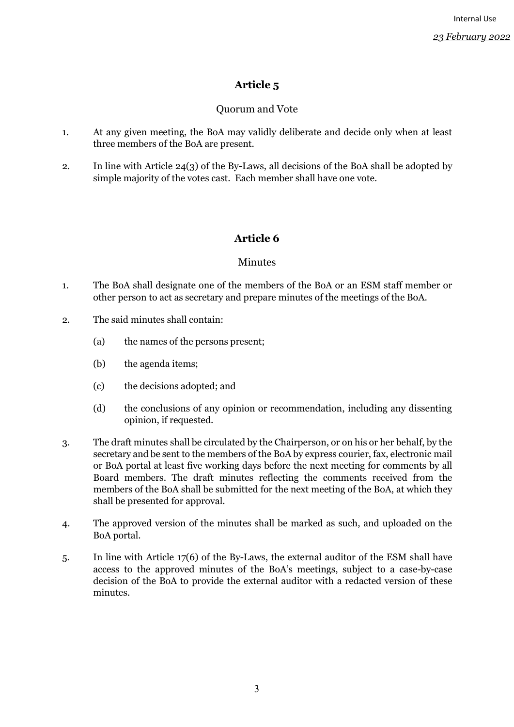# **Article 5**

### Quorum and Vote

- 1. At any given meeting, the BoA may validly deliberate and decide only when at least three members of the BoA are present.
- 2. In line with Article 24(3) of the By-Laws, all decisions of the BoA shall be adopted by simple majority of the votes cast. Each member shall have one vote.

# **Article 6**

### Minutes

- 1. The BoA shall designate one of the members of the BoA or an ESM staff member or other person to act as secretary and prepare minutes of the meetings of the BoA.
- 2. The said minutes shall contain:
	- (a) the names of the persons present;
	- (b) the agenda items;
	- (c) the decisions adopted; and
	- (d) the conclusions of any opinion or recommendation, including any dissenting opinion, if requested.
- 3. The draft minutes shall be circulated by the Chairperson, or on his or her behalf, by the secretary and be sent to the members of the BoA by express courier, fax, electronic mail or BoA portal at least five working days before the next meeting for comments by all Board members. The draft minutes reflecting the comments received from the members of the BoA shall be submitted for the next meeting of the BoA, at which they shall be presented for approval.
- 4. The approved version of the minutes shall be marked as such, and uploaded on the BoA portal.
- 5. In line with Article 17(6) of the By-Laws, the external auditor of the ESM shall have access to the approved minutes of the BoA's meetings, subject to a case-by-case decision of the BoA to provide the external auditor with a redacted version of these minutes.